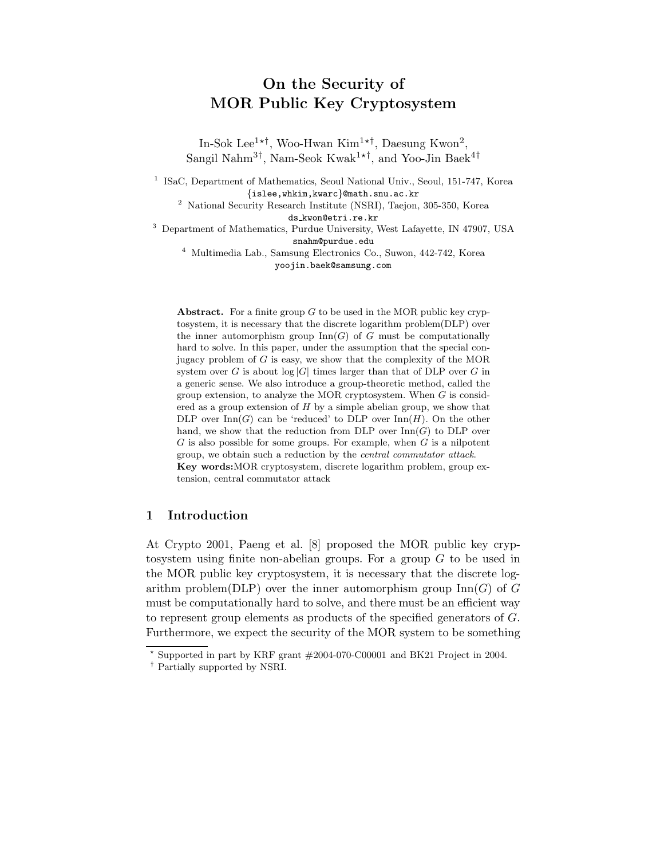# On the Security of MOR Public Key Cryptosystem

In-Sok Lee<sup>1\*†</sup>, Woo-Hwan Kim<sup>1\*†</sup>, Daesung Kwon<sup>2</sup>, Sangil Nahm<sup>3†</sup>, Nam-Seok Kwak<sup>1\*†</sup>, and Yoo-Jin Baek<sup>4†</sup>

<sup>1</sup> ISaC, Department of Mathematics, Seoul National Univ., Seoul, 151-747, Korea {islee,whkim,kwarc}@math.snu.ac.kr

 $^{\rm 2}$  National Security Research Institute (NSRI), Taejon, 305-350, Korea ds kwon@etri.re.kr

<sup>3</sup> Department of Mathematics, Purdue University, West Lafayette, IN 47907, USA snahm@purdue.edu

<sup>4</sup> Multimedia Lab., Samsung Electronics Co., Suwon, 442-742, Korea yoojin.baek@samsung.com

**Abstract.** For a finite group  $G$  to be used in the MOR public key cryptosystem, it is necessary that the discrete logarithm problem(DLP) over the inner automorphism group  $\text{Inn}(G)$  of  $G$  must be computationally hard to solve. In this paper, under the assumption that the special conjugacy problem of  $G$  is easy, we show that the complexity of the MOR system over G is about  $log|G|$  times larger than that of DLP over G in a generic sense. We also introduce a group-theoretic method, called the group extension, to analyze the MOR cryptosystem. When G is considered as a group extension of  $H$  by a simple abelian group, we show that DLP over  $\text{Inn}(G)$  can be 'reduced' to DLP over  $\text{Inn}(H)$ . On the other hand, we show that the reduction from DLP over  $\text{Inn}(G)$  to DLP over  $G$  is also possible for some groups. For example, when  $G$  is a nilpotent group, we obtain such a reduction by the central commutator attack. Key words:MOR cryptosystem, discrete logarithm problem, group extension, central commutator attack

# 1 Introduction

At Crypto 2001, Paeng et al. [8] proposed the MOR public key cryptosystem using finite non-abelian groups. For a group G to be used in the MOR public key cryptosystem, it is necessary that the discrete logarithm problem(DLP) over the inner automorphism group  $\text{Inn}(G)$  of G must be computationally hard to solve, and there must be an efficient way to represent group elements as products of the specified generators of G. Furthermore, we expect the security of the MOR system to be something

 $*$  Supported in part by KRF grant  $\#2004-070$ -C00001 and BK21 Project in 2004.

<sup>†</sup> Partially supported by NSRI.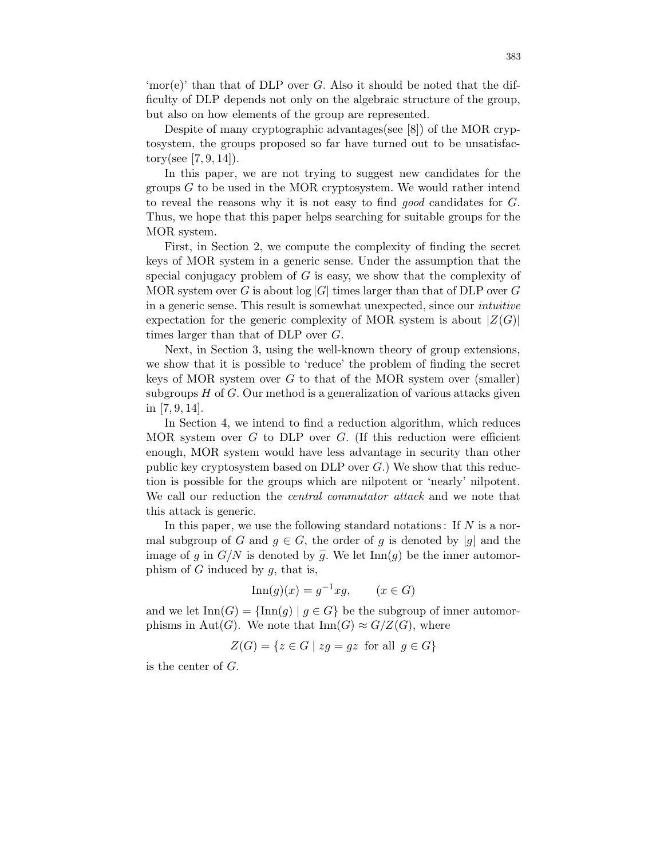'mor(e)' than that of DLP over  $G$ . Also it should be noted that the difficulty of DLP depends not only on the algebraic structure of the group, but also on how elements of the group are represented.

Despite of many cryptographic advantages(see [8]) of the MOR cryptosystem, the groups proposed so far have turned out to be unsatisfactory(see [7, 9, 14]).

In this paper, we are not trying to suggest new candidates for the groups  $G$  to be used in the MOR cryptosystem. We would rather intend to reveal the reasons why it is not easy to find good candidates for G. Thus, we hope that this paper helps searching for suitable groups for the MOR system.

First, in Section 2, we compute the complexity of finding the secret keys of MOR system in a generic sense. Under the assumption that the special conjugacy problem of  $G$  is easy, we show that the complexity of MOR system over G is about  $log |G|$  times larger than that of DLP over G in a generic sense. This result is somewhat unexpected, since our intuitive expectation for the generic complexity of MOR system is about  $|Z(G)|$ times larger than that of DLP over G.

Next, in Section 3, using the well-known theory of group extensions, we show that it is possible to 'reduce' the problem of finding the secret keys of MOR system over  $G$  to that of the MOR system over (smaller) subgroups  $H$  of  $G$ . Our method is a generalization of various attacks given in [7, 9, 14].

In Section 4, we intend to find a reduction algorithm, which reduces MOR system over G to DLP over G. (If this reduction were efficient enough, MOR system would have less advantage in security than other public key cryptosystem based on DLP over  $G$ .) We show that this reduction is possible for the groups which are nilpotent or 'nearly' nilpotent. We call our reduction the *central commutator attack* and we note that this attack is generic.

In this paper, we use the following standard notations: If  $N$  is a normal subgroup of G and  $q \in G$ , the order of q is denoted by |q| and the image of g in  $G/N$  is denoted by  $\overline{g}$ . We let  $\text{Inn}(g)$  be the inner automorphism of  $G$  induced by  $q$ , that is,

$$
\operatorname{Inn}(g)(x) = g^{-1}xg, \qquad (x \in G)
$$

and we let  $\text{Inn}(G) = {\text{Inn}(g) | g \in G}$  be the subgroup of inner automorphisms in Aut(G). We note that  $\text{Inn}(G) \approx G/Z(G)$ , where

 $Z(G) = \{z \in G \mid zq = qz \text{ for all } q \in G\}$ 

is the center of G.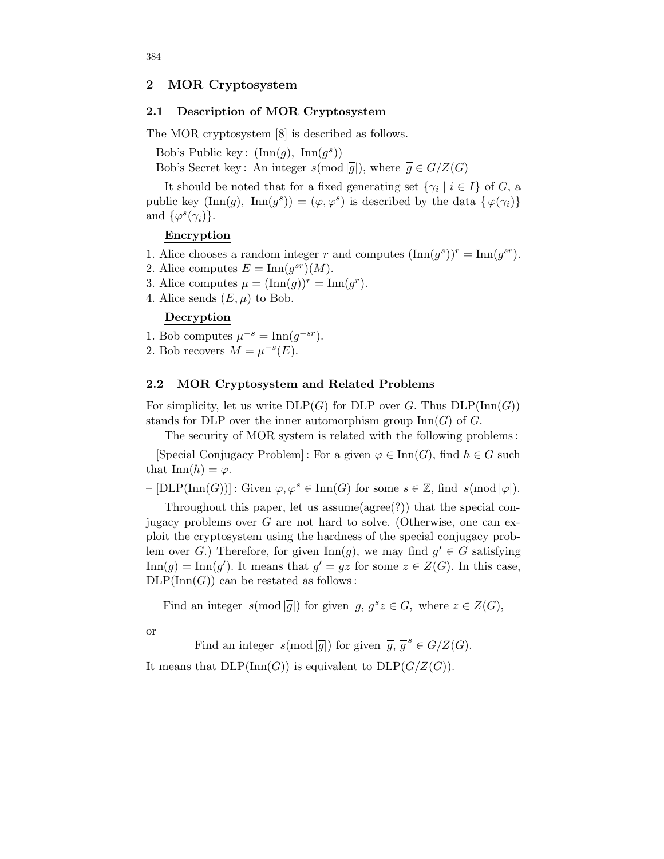### 2 MOR Cryptosystem

## 2.1 Description of MOR Cryptosystem

The MOR cryptosystem [8] is described as follows.

- $-$  Bob's Public key:  $(\text{Inn}(g), \text{Inn}(g^s))$
- Bob's Secret key: An integer  $s \pmod{\overline{g}}$ , where  $\overline{g} \in G/Z(G)$

It should be noted that for a fixed generating set  $\{\gamma_i \mid i \in I\}$  of G, a public key  $(\text{Inn}(g), \ \text{Inn}(g^s)) = (\varphi, \varphi^s)$  is described by the data  $\{\varphi(\gamma_i)\}$ and  $\{\varphi^s(\gamma_i)\}.$ 

## Encryption

- 1. Alice chooses a random integer r and computes  $(\text{Inn}(g^s))^r = \text{Inn}(g^{sr})$ .
- 2. Alice computes  $E = \text{Inn}(g^{sr})(M)$ .
- 3. Alice computes  $\mu = (\text{Inn}(g))^r = \text{Inn}(g^r)$ .
- 4. Alice sends  $(E, \mu)$  to Bob.

# Decryption

- 1. Bob computes  $\mu^{-s} = \text{Inn}(g^{-sr})$ .
- 2. Bob recovers  $M = \mu^{-s}(E)$ .

## 2.2 MOR Cryptosystem and Related Problems

For simplicity, let us write  $DLP(G)$  for DLP over G. Thus  $DLP(\text{Inn}(G))$ stands for DLP over the inner automorphism group  $\text{Inn}(G)$  of G.

The security of MOR system is related with the following problems:

– [Special Conjugacy Problem] : For a given  $\varphi \in \text{Inn}(G)$ , find  $h \in G$  such that  $\text{Inn}(h) = \varphi$ .

 $-[DLP(Inn(G))]$ : Given  $\varphi, \varphi^s \in Inn(G)$  for some  $s \in \mathbb{Z}$ , find  $s(mod |\varphi|)$ .

Throughout this paper, let us assume(agree(?)) that the special conjugacy problems over  $G$  are not hard to solve. (Otherwise, one can exploit the cryptosystem using the hardness of the special conjugacy problem over G.) Therefore, for given  $\text{Inn}(g)$ , we may find  $g' \in G$  satisfying  $\text{Inn}(g) = \text{Inn}(g')$ . It means that  $g' = gz$  for some  $z \in Z(G)$ . In this case,  $DLP(Inn(G))$  can be restated as follows:

Find an integer  $s \text{ (mod } |\overline{g}|)$  for given  $g, g^s z \in G$ , where  $z \in Z(G)$ ,

or

Find an integer  $s(\text{mod } |\overline{g}|)$  for given  $\overline{g}, \overline{g}^s \in G/Z(G)$ .

It means that  $DLP(\text{Inn}(G))$  is equivalent to  $DLP(G/Z(G))$ .

384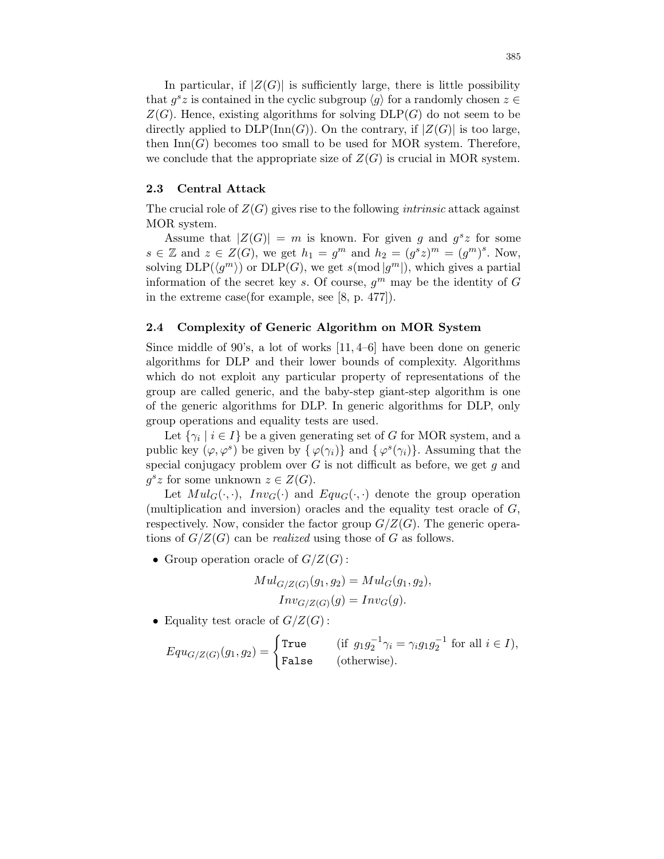In particular, if  $|Z(G)|$  is sufficiently large, there is little possibility that  $g^s z$  is contained in the cyclic subgroup  $\langle g \rangle$  for a randomly chosen  $z \in \mathbb{R}$  $Z(G)$ . Hence, existing algorithms for solving  $DLP(G)$  do not seem to be directly applied to  $DLP(\text{Inn}(G))$ . On the contrary, if  $|Z(G)|$  is too large, then  $\text{Inn}(G)$  becomes too small to be used for MOR system. Therefore, we conclude that the appropriate size of  $Z(G)$  is crucial in MOR system.

#### 2.3 Central Attack

The crucial role of  $Z(G)$  gives rise to the following *intrinsic* attack against MOR system.

Assume that  $|Z(G)| = m$  is known. For given g and  $g^s z$  for some  $s \in \mathbb{Z}$  and  $z \in Z(G)$ , we get  $h_1 = g^m$  and  $h_2 = (g^s z)^m = (g^m)^s$ . Now, solving  $\text{DLP}(\langle g^m \rangle)$  or  $\text{DLP}(G)$ , we get  $s(\text{mod } |g^m|)$ , which gives a partial information of the secret key s. Of course,  $g^m$  may be the identity of G in the extreme case(for example, see [8, p. 477]).

# 2.4 Complexity of Generic Algorithm on MOR System

Since middle of 90's, a lot of works [11, 4–6] have been done on generic algorithms for DLP and their lower bounds of complexity. Algorithms which do not exploit any particular property of representations of the group are called generic, and the baby-step giant-step algorithm is one of the generic algorithms for DLP. In generic algorithms for DLP, only group operations and equality tests are used.

Let  $\{\gamma_i \mid i \in I\}$  be a given generating set of G for MOR system, and a public key  $(\varphi, \varphi^s)$  be given by  $\{\varphi(\gamma_i)\}\$  and  $\{\varphi^s(\gamma_i)\}\$ . Assuming that the special conjugacy problem over  $G$  is not difficult as before, we get  $g$  and  $g^s z$  for some unknown  $z \in Z(G)$ .

Let  $Mul_G(\cdot, \cdot)$ ,  $Inv_G(\cdot)$  and  $Equ_G(\cdot, \cdot)$  denote the group operation (multiplication and inversion) oracles and the equality test oracle of  $G$ , respectively. Now, consider the factor group  $G/Z(G)$ . The generic operations of  $G/Z(G)$  can be *realized* using those of G as follows.

• Group operation oracle of  $G/Z(G)$ :

$$
Mul_{G/Z(G)}(g_1, g_2) = Mul_G(g_1, g_2),
$$
  
\n
$$
Inv_{G/Z(G)}(g) = Inv_G(g).
$$

• Equality test oracle of  $G/Z(G)$ :

$$
Equ_{G/Z(G)}(g_1, g_2) = \begin{cases} \text{True} & \text{ (if } g_1 g_2^{-1} \gamma_i = \gamma_i g_1 g_2^{-1} \text{ for all } i \in I), \\ \text{False} & \text{ (otherwise).} \end{cases}
$$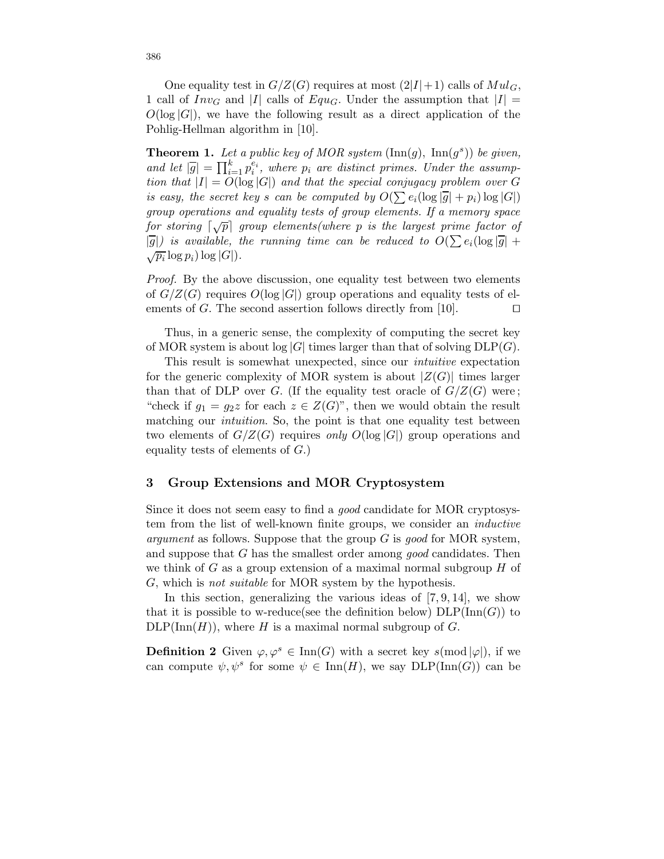One equality test in  $G/Z(G)$  requires at most  $(2|I|+1)$  calls of  $Mul_G$ , 1 call of  $Inv_G$  and |I| calls of  $Equ_G$ . Under the assumption that  $|I| =$  $O(\log |G|)$ , we have the following result as a direct application of the Pohlig-Hellman algorithm in [10].

**Theorem 1.** Let a public key of MOR system  $(\text{Inn}(g), \text{ Inn}(g^s))$  be given, and let  $|\overline{g}| = \prod_{i=1}^{k} p_i^{e_i}$ , where  $p_i$  are distinct primes. Under the assumption that  $|I| = O(\log |G|)$  and that the special conjugacy problem over G is easy, the secret key s can be computed by  $O(\sum e_i(\log |\overline{g}| + p_i) \log |G|)$ group operations and equality tests of group elements. If a memory space for storing  $\lceil \sqrt{p} \rceil$  group elements(where p is the largest prime factor of  $|\overline{g}|$ ) is available, the running time can be reduced to  $O(\sum e_i (\log |\overline{g}| +$  $\sqrt{p_i} \log p_i) \log |G|$ ).

Proof. By the above discussion, one equality test between two elements of  $G/Z(G)$  requires  $O(\log |G|)$  group operations and equality tests of elements of G. The second assertion follows directly from [10]. ements of  $G$ . The second assertion follows directly from [10].

Thus, in a generic sense, the complexity of computing the secret key of MOR system is about  $log |G|$  times larger than that of solving  $DLP(G)$ .

This result is somewhat unexpected, since our intuitive expectation for the generic complexity of MOR system is about  $|Z(G)|$  times larger than that of DLP over G. (If the equality test oracle of  $G/Z(G)$  were; "check if  $g_1 = g_2z$  for each  $z \in Z(G)$ ", then we would obtain the result matching our *intuition*. So, the point is that one equality test between two elements of  $G/Z(G)$  requires only  $O(\log |G|)$  group operations and equality tests of elements of  $G$ .)

# 3 Group Extensions and MOR Cryptosystem

Since it does not seem easy to find a good candidate for MOR cryptosystem from the list of well-known finite groups, we consider an inductive *argument* as follows. Suppose that the group  $G$  is good for MOR system, and suppose that  $G$  has the smallest order among good candidates. Then we think of  $G$  as a group extension of a maximal normal subgroup  $H$  of G, which is not suitable for MOR system by the hypothesis.

In this section, generalizing the various ideas of  $[7, 9, 14]$ , we show that it is possible to w-reduce(see the definition below)  $DLP(\text{Inn}(G))$  to  $DLP(\text{Inn}(H))$ , where H is a maximal normal subgroup of G.

**Definition 2** Given  $\varphi, \varphi^s \in \text{Inn}(G)$  with a secret key  $s(\text{mod }|\varphi|)$ , if we can compute  $\psi, \psi^s$  for some  $\psi \in \text{Inn}(H)$ , we say  $\text{DLP}(\text{Inn}(G))$  can be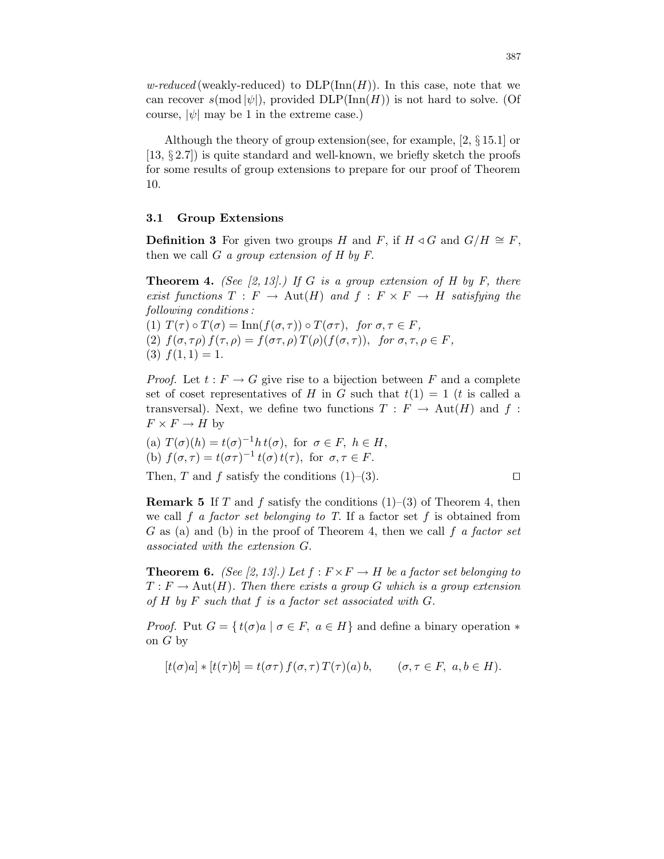w-reduced (weakly-reduced) to  $DLP(\mathrm{Inn}(H))$ . In this case, note that we can recover  $s(\text{mod }|\psi|)$ , provided  $DLP(\text{Inn}(H))$  is not hard to solve. (Of course,  $|\psi|$  may be 1 in the extreme case.)

Although the theory of group extension(see, for example, [2, § 15.1] or  $[13, § 2.7]$  is quite standard and well-known, we briefly sketch the proofs for some results of group extensions to prepare for our proof of Theorem 10.

#### 3.1 Group Extensions

**Definition 3** For given two groups H and F, if  $H \triangleleft G$  and  $G/H \cong F$ , then we call  $G$  a group extension of  $H$  by  $F$ .

**Theorem 4.** (See [2, 13].) If G is a group extension of H by F, there exist functions  $T : F \to \text{Aut}(H)$  and  $f : F \times F \to H$  satisfying the following conditions :

(1)  $T(\tau) \circ T(\sigma) = \text{Inn}(f(\sigma, \tau)) \circ T(\sigma \tau)$ , for  $\sigma, \tau \in F$ , (2)  $f(\sigma, \tau \rho) f(\tau, \rho) = f(\sigma \tau, \rho) T(\rho) (f(\sigma, \tau)),$  for  $\sigma, \tau, \rho \in F$ ,  $(3) f(1, 1) = 1.$ 

*Proof.* Let  $t : F \to G$  give rise to a bijection between F and a complete set of coset representatives of H in G such that  $t(1) = 1$  (t is called a transversal). Next, we define two functions  $T : F \to Aut(H)$  and f:  $F \times F \to H$  by

(a) 
$$
T(\sigma)(h) = t(\sigma)^{-1}h t(\sigma)
$$
, for  $\sigma \in F$ ,  $h \in H$ ,  
(b)  $f(\sigma, \tau) = t(\sigma \tau)^{-1} t(\sigma) t(\tau)$ , for  $\sigma, \tau \in F$ .

Then, T and f satisfy the conditions  $(1)$ – $(3)$ .

**Remark 5** If T and f satisfy the conditions  $(1)$ – $(3)$  of Theorem 4, then we call f a factor set belonging to T. If a factor set f is obtained from  $G$  as (a) and (b) in the proof of Theorem 4, then we call  $f$  a factor set associated with the extension G.

**Theorem 6.** (See [2, 13].) Let  $f : F \times F \to H$  be a factor set belonging to  $T : F \to \text{Aut}(H)$ . Then there exists a group G which is a group extension of  $H$  by  $F$  such that  $f$  is a factor set associated with  $G$ .

*Proof.* Put  $G = \{ t(\sigma) a \mid \sigma \in F, a \in H \}$  and define a binary operation  $*$ on  $G$  by

$$
[t(\sigma)a] * [t(\tau)b] = t(\sigma\tau) f(\sigma, \tau) T(\tau)(a) b, \qquad (\sigma, \tau \in F, a, b \in H).
$$

$$
\Box
$$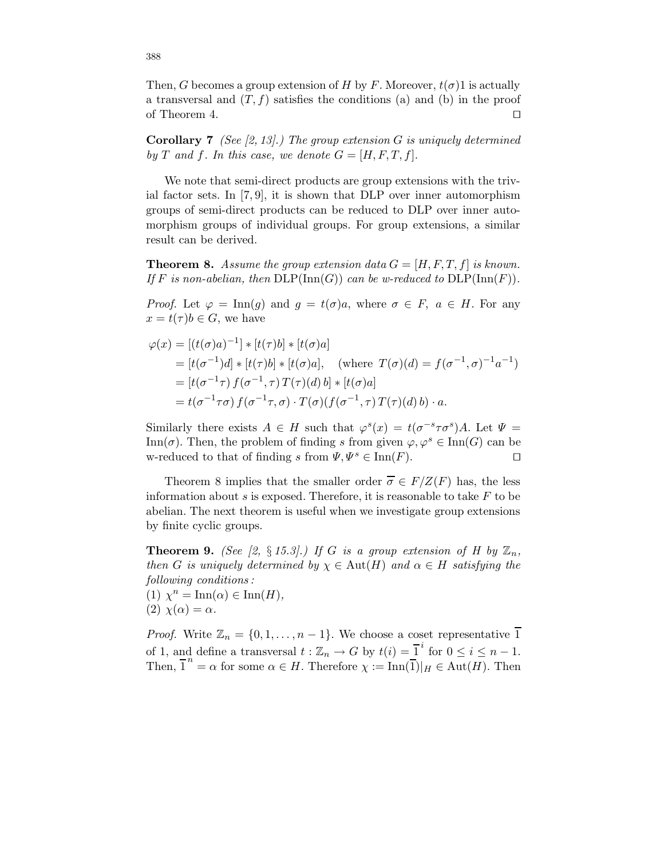Then, G becomes a group extension of H by F. Moreover,  $t(\sigma)$ 1 is actually a transversal and  $(T, f)$  satisfies the conditions (a) and (b) in the proof of Theorem 4.  $\Box$ 

**Corollary 7** (See [2, 13].) The group extension G is uniquely determined by T and f. In this case, we denote  $G = [H, F, T, f]$ .

We note that semi-direct products are group extensions with the trivial factor sets. In  $[7, 9]$ , it is shown that DLP over inner automorphism groups of semi-direct products can be reduced to DLP over inner automorphism groups of individual groups. For group extensions, a similar result can be derived.

**Theorem 8.** Assume the group extension data  $G = [H, F, T, f]$  is known. If F is non-abelian, then  $\text{DLP}(\text{Inn}(G))$  can be w-reduced to  $\text{DLP}(\text{Inn}(F))$ .

*Proof.* Let  $\varphi = \text{Inn}(g)$  and  $g = t(\sigma)a$ , where  $\sigma \in F$ ,  $a \in H$ . For any  $x = t(\tau)b \in G$ , we have

$$
\varphi(x) = \left[ (t(\sigma)a)^{-1} \right] * \left[ t(\tau)b \right] * \left[ t(\sigma)a \right]
$$
  
\n
$$
= \left[ t(\sigma^{-1})d \right] * \left[ t(\tau)b \right] * \left[ t(\sigma)a \right], \quad \text{(where } T(\sigma)(d) = f(\sigma^{-1}, \sigma)^{-1}a^{-1} \text{)}
$$
  
\n
$$
= \left[ t(\sigma^{-1}\tau) f(\sigma^{-1}, \tau) T(\tau)(d) b \right] * \left[ t(\sigma)a \right]
$$
  
\n
$$
= t(\sigma^{-1}\tau\sigma) f(\sigma^{-1}\tau, \sigma) \cdot T(\sigma) (f(\sigma^{-1}, \tau) T(\tau)(d) b) \cdot a.
$$

Similarly there exists  $A \in H$  such that  $\varphi^{s}(x) = t(\sigma^{-s} \tau \sigma^{s}) A$ . Let  $\Psi =$ Inn( $\sigma$ ). Then, the problem of finding s from given  $\varphi, \varphi^s \in \text{Inn}(G)$  can be w-reduced to that of finding s from  $\Psi, \Psi^s \in \text{Inn}(F)$ .

Theorem 8 implies that the smaller order  $\overline{\sigma} \in F/Z(F)$  has, the less information about s is exposed. Therefore, it is reasonable to take  $F$  to be abelian. The next theorem is useful when we investigate group extensions by finite cyclic groups.

**Theorem 9.** (See [2, § 15.3].) If G is a group extension of H by  $\mathbb{Z}_n$ , then G is uniquely determined by  $\chi \in \text{Aut}(H)$  and  $\alpha \in H$  satisfying the following conditions :

(1)  $\chi^n = \text{Inn}(\alpha) \in \text{Inn}(H)$ , (2)  $\chi(\alpha) = \alpha$ .

*Proof.* Write  $\mathbb{Z}_n = \{0, 1, \ldots, n-1\}$ . We choose a coset representative  $\overline{1}$ of 1, and define a transversal  $t : \mathbb{Z}_n \to G$  by  $t(i) = \overline{1}^i$  for  $0 \le i \le n-1$ . Then,  $\overline{1}^n = \alpha$  for some  $\alpha \in H$ . Therefore  $\chi := \text{Inn}(\overline{1})|_H \in \text{Aut}(H)$ . Then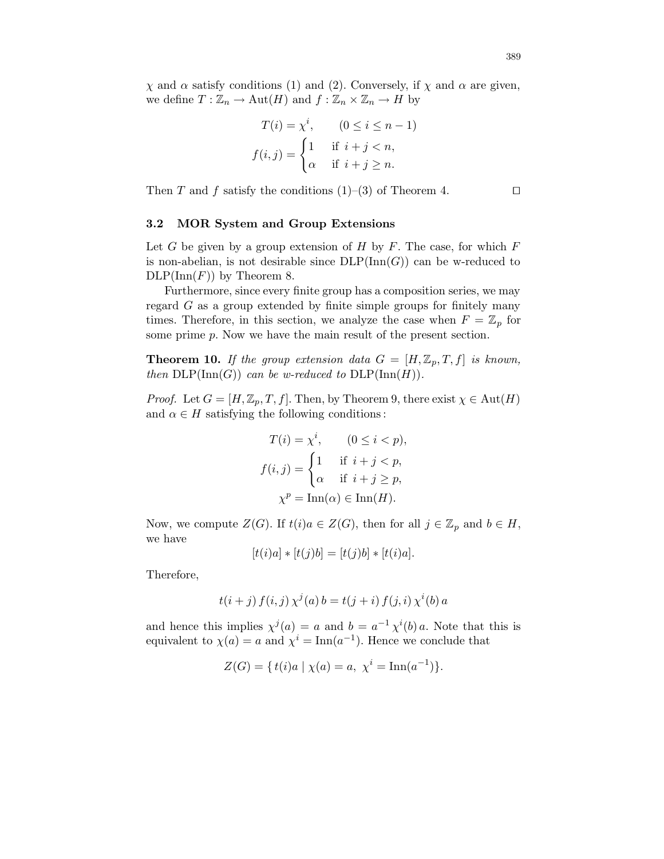$\chi$  and  $\alpha$  satisfy conditions (1) and (2). Conversely, if  $\chi$  and  $\alpha$  are given, we define  $T : \mathbb{Z}_n \to \text{Aut}(H)$  and  $f : \mathbb{Z}_n \times \mathbb{Z}_n \to H$  by

$$
T(i) = \chi^i, \qquad (0 \le i \le n-1)
$$

$$
f(i,j) = \begin{cases} 1 & \text{if } i+j < n, \\ \alpha & \text{if } i+j \ge n. \end{cases}
$$

Then T and f satisfy the conditions  $(1)$ – $(3)$  of Theorem 4.

#### 3.2 MOR System and Group Extensions

Let G be given by a group extension of H by F. The case, for which  $F$ is non-abelian, is not desirable since  $DLP(\text{Inn}(G))$  can be w-reduced to  $DLP(\text{Inn}(F))$  by Theorem 8.

Furthermore, since every finite group has a composition series, we may regard  $G$  as a group extended by finite simple groups for finitely many times. Therefore, in this section, we analyze the case when  $F = \mathbb{Z}_p$  for some prime p. Now we have the main result of the present section.

**Theorem 10.** If the group extension data  $G = [H, \mathbb{Z}_p, T, f]$  is known, then  $DLP(Inn(G))$  can be w-reduced to  $DLP(Inn(H))$ .

*Proof.* Let  $G = [H, \mathbb{Z}_p, T, f]$ . Then, by Theorem 9, there exist  $\chi \in \text{Aut}(H)$ and  $\alpha \in H$  satisfying the following conditions:

$$
T(i) = \chi^i, \qquad (0 \le i < p),
$$
\n
$$
f(i,j) = \begin{cases} 1 & \text{if } i+j < p, \\ \alpha & \text{if } i+j \ge p, \end{cases}
$$
\n
$$
\chi^p = \text{Inn}(\alpha) \in \text{Inn}(H).
$$

Now, we compute  $Z(G)$ . If  $t(i)a \in Z(G)$ , then for all  $j \in \mathbb{Z}_p$  and  $b \in H$ , we have

$$
[t(i)a] * [t(j)b] = [t(j)b] * [t(i)a].
$$

Therefore,

$$
t(i + j) f(i, j) \chi^{j}(a) b = t(j + i) f(j, i) \chi^{i}(b) a
$$

and hence this implies  $\chi^j(a) = a$  and  $b = a^{-1} \chi^i(b) a$ . Note that this is equivalent to  $\chi(a) = a$  and  $\chi^i = \text{Inn}(a^{-1})$ . Hence we conclude that

$$
Z(G) = \{ t(i)a \mid \chi(a) = a, \ \chi^i = \text{Inn}(a^{-1}) \}.
$$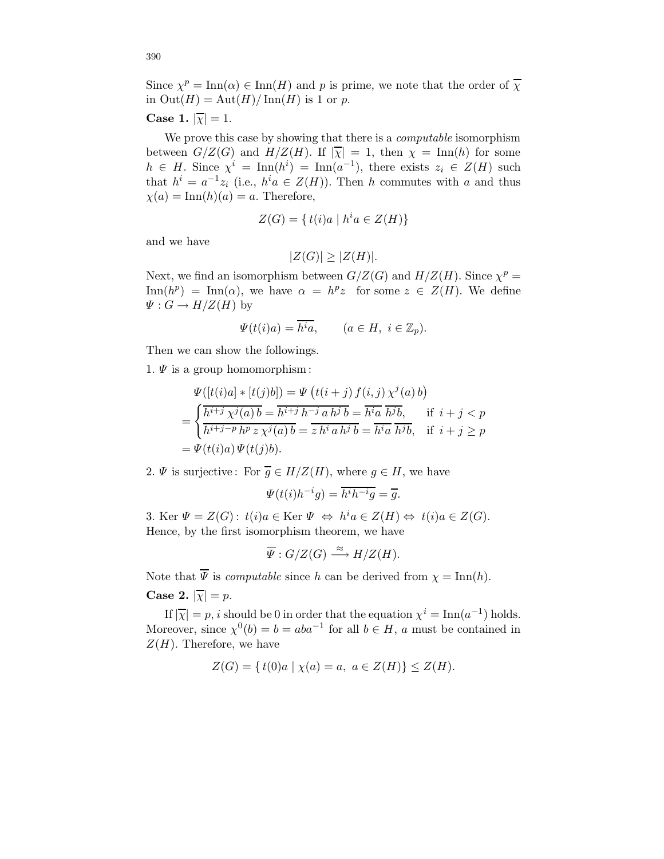Since  $\chi^p = \text{Inn}(\alpha) \in \text{Inn}(H)$  and p is prime, we note that the order of  $\overline{\chi}$ in  $Out(H) = Aut(H)/Inn(H)$  is 1 or p.

# Case 1.  $|\overline{\chi}| = 1$ .

We prove this case by showing that there is a *computable* isomorphism between  $G/Z(G)$  and  $H/Z(H)$ . If  $|\overline{\chi}| = 1$ , then  $\chi = \text{Inn}(h)$  for some  $h \in H$ . Since  $\chi^i = \text{Inn}(h^i) = \text{Inn}(a^{-1})$ , there exists  $z_i \in Z(H)$  such that  $h^i = a^{-1}z_i$  (i.e.,  $h^i a \in Z(H)$ ). Then h commutes with a and thus  $\chi(a) = \text{Inn}(h)(a) = a$ . Therefore,

$$
Z(G) = \{ t(i)a \mid h^i a \in Z(H) \}
$$

and we have

$$
|Z(G)| \ge |Z(H)|.
$$

Next, we find an isomorphism between  $G/Z(G)$  and  $H/Z(H)$ . Since  $\chi^p =$  $\text{Inn}(h^p) = \text{Inn}(\alpha)$ , we have  $\alpha = h^p z$  for some  $z \in Z(H)$ . We define  $\Psi: G \to H/Z(H)$  by

$$
\Psi(t(i)a) = \overline{h^i a}, \qquad (a \in H, \ i \in \mathbb{Z}_p).
$$

Then we can show the followings.

1.  $\Psi$  is a group homomorphism:

$$
\Psi([t(i)a] * [t(j)b]) = \Psi(t(i+j) f(i,j) \chi^j(a) b)
$$
\n
$$
= \begin{cases}\n\frac{\overline{h^{i+j}} \chi^j(a) b}{\overline{h^{i+j-p}} \overline{h^p} \chi^j(a) b} = \overline{h^{i+j} \overline{h^{j}b}} = \overline{h^{i}a} \overline{h^{j}b}, & \text{if } i+j < p \\
\overline{h^{i+j-p}} \overline{h^p} \chi^j(a) b = \overline{h^{i}a} \overline{h^{j}b} = \overline{h^{i}a} \overline{h^{j}b}, & \text{if } i+j \geq p \\
= \Psi(t(i)a) \Psi(t(j)b).\n\end{cases}
$$

2.  $\Psi$  is surjective: For  $\overline{g} \in H/Z(H)$ , where  $g \in H$ , we have

$$
\Psi(t(i)h^{-i}g) = \overline{h^ih^{-i}g} = \overline{g}.
$$

3. Ker  $\Psi = Z(G)$ :  $t(i)a \in \text{Ker } \Psi \iff h^i a \in Z(H) \iff t(i)a \in Z(G)$ . Hence, by the first isomorphism theorem, we have

$$
\overline{\Psi}: G/Z(G) \xrightarrow{\approx} H/Z(H).
$$

Note that  $\overline{\Psi}$  is *computable* since h can be derived from  $\chi = \text{Inn}(h)$ .

Case 2.  $|\overline{\chi}| = p$ .

If  $|\overline{\chi}| = p$ , *i* should be 0 in order that the equation  $\chi^{i} = \text{Inn}(a^{-1})$  holds. Moreover, since  $\chi^0(b) = b = aba^{-1}$  for all  $b \in H$ , a must be contained in  $Z(H)$ . Therefore, we have

$$
Z(G) = \{ t(0)a \mid \chi(a) = a, \ a \in Z(H) \} \le Z(H).
$$

390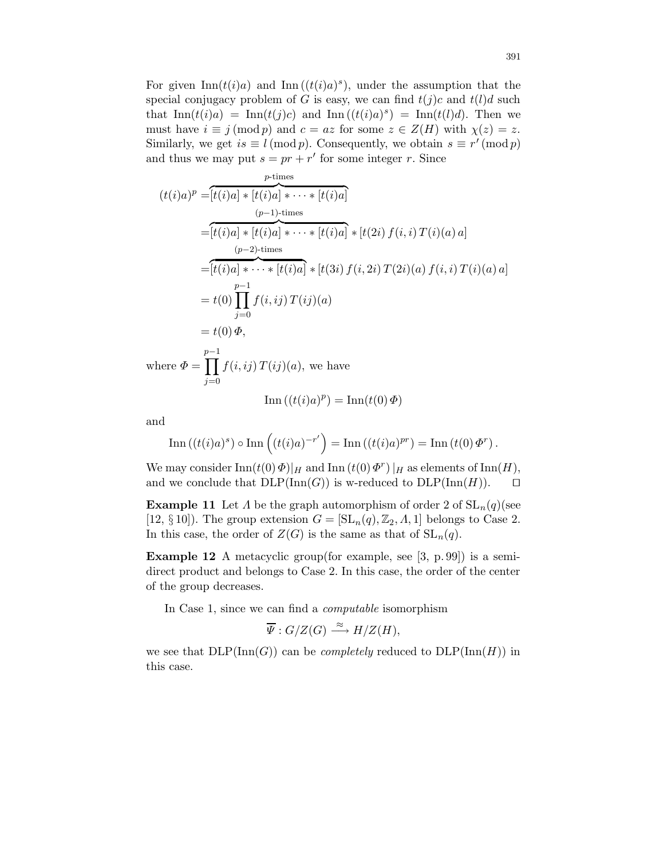For given  $\text{Inn}(t(i)a)$  and  $\text{Inn}((t(i)a)^s)$ , under the assumption that the special conjugacy problem of G is easy, we can find  $t(j)c$  and  $t(l)d$  such that  $\text{Inn}(t(i)a) = \text{Inn}(t(j)c)$  and  $\text{Inn}((t(i)a)^s) = \text{Inn}(t(l)d)$ . Then we must have  $i \equiv j \pmod{p}$  and  $c = az$  for some  $z \in Z(H)$  with  $\chi(z) = z$ . Similarly, we get  $is \equiv l \pmod{p}$ . Consequently, we obtain  $s \equiv r' \pmod{p}$ and thus we may put  $s = pr + r'$  for some integer r. Since

$$
(t(i)a)^p = [t(i)a] * [t(i)a] * \cdots * [t(i)a]
$$
  
\n
$$
= [t(i)a] * [t(i)a] * \cdots * [t(i)a] * [t(2i) f(i,i) T(i)(a) a]
$$
  
\n
$$
= [t(i)a] * \cdots * [t(i)a] * [t(3i) f(i, 2i) T(2i)(a) f(i,i) T(i)(a) a]
$$
  
\n
$$
= t(0) \prod_{j=0}^{p-1} f(i, ij) T(ij)(a)
$$
  
\n
$$
= t(0) \Phi,
$$

where  $\Phi =$ p−1<br>∏  $j=0$  $f(i,ij) T(ij)(a)$ , we have

$$
\operatorname{Inn}((t(i)a)^p) = \operatorname{Inn}(t(0)\Phi)
$$

and

Inn
$$
((t(i)a)^s) \circ \text{Inn}\left((t(i)a)^{-r'}\right) = \text{Inn}\left((t(i)a)^{pr}\right) = \text{Inn}\left((t(0)\Phi^r)\right).
$$

We may consider  $\text{Inn}(t(0) \Phi)|_H$  and  $\text{Inn}(t(0) \Phi^r)|_H$  as elements of  $\text{Inn}(H)$ , and we conclude that  $DLP(\text{Inn}(G))$  is w-reduced to  $DLP(\text{Inn}(H))$ .  $\Box$ 

**Example 11** Let  $\Lambda$  be the graph automorphism of order 2 of  $SL_n(q)$  (see [12, § 10]). The group extension  $G = [\mathrm{SL}_n(q), \mathbb{Z}_2, \Lambda, 1]$  belongs to Case 2. In this case, the order of  $Z(G)$  is the same as that of  $SL_n(q)$ .

Example 12 A metacyclic group(for example, see [3, p. 99]) is a semidirect product and belongs to Case 2. In this case, the order of the center of the group decreases.

In Case 1, since we can find a computable isomorphism

$$
\overline{\Psi}: G/Z(G) \xrightarrow{\approx} H/Z(H),
$$

we see that  $DLP(\mathrm{Inn}(G))$  can be *completely* reduced to  $DLP(\mathrm{Inn}(H))$  in this case.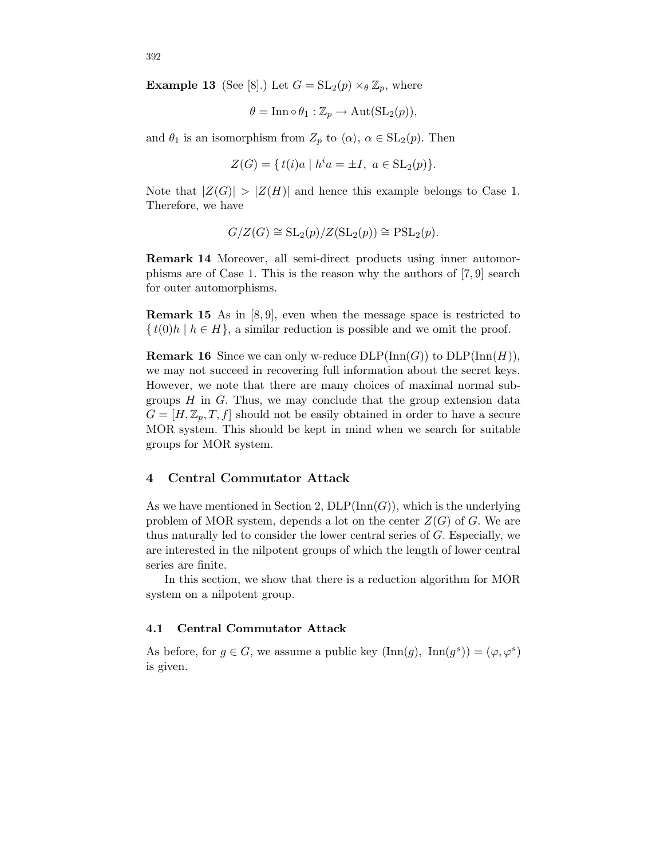**Example 13** (See [8].) Let  $G = SL_2(p) \times_{\theta} \mathbb{Z}_p$ , where

$$
\theta = \mathop{\mathrm{Inn}}\nolimits \circ \theta_1 : \mathbb{Z}_p \to \mathrm{Aut}(\mathrm{SL}_2(p)),
$$

and  $\theta_1$  is an isomorphism from  $Z_p$  to  $\langle \alpha \rangle$ ,  $\alpha \in SL_2(p)$ . Then

$$
Z(G) = \{ t(i)a \mid h^i a = \pm I, \ a \in SL_2(p) \}.
$$

Note that  $|Z(G)| > |Z(H)|$  and hence this example belongs to Case 1. Therefore, we have

$$
G/Z(G) \cong SL_2(p)/Z(SL_2(p)) \cong PSL_2(p).
$$

Remark 14 Moreover, all semi-direct products using inner automorphisms are of Case 1. This is the reason why the authors of [7, 9] search for outer automorphisms.

Remark 15 As in [8, 9], even when the message space is restricted to  $\{t(0)h \mid h \in H\}$ , a similar reduction is possible and we omit the proof.

**Remark 16** Since we can only w-reduce  $DLP(\text{Inn}(G))$  to  $DLP(\text{Inn}(H)),$ we may not succeed in recovering full information about the secret keys. However, we note that there are many choices of maximal normal subgroups  $H$  in  $G$ . Thus, we may conclude that the group extension data  $G = [H, \mathbb{Z}_p, T, f]$  should not be easily obtained in order to have a secure MOR system. This should be kept in mind when we search for suitable groups for MOR system.

## 4 Central Commutator Attack

As we have mentioned in Section 2,  $DLP(Inn(G))$ , which is the underlying problem of MOR system, depends a lot on the center  $Z(G)$  of G. We are thus naturally led to consider the lower central series of G. Especially, we are interested in the nilpotent groups of which the length of lower central series are finite.

In this section, we show that there is a reduction algorithm for MOR system on a nilpotent group.

#### 4.1 Central Commutator Attack

As before, for  $g \in G$ , we assume a public key  $(\text{Inn}(g), \text{ Inn}(g^s)) = (\varphi, \varphi^s)$ is given.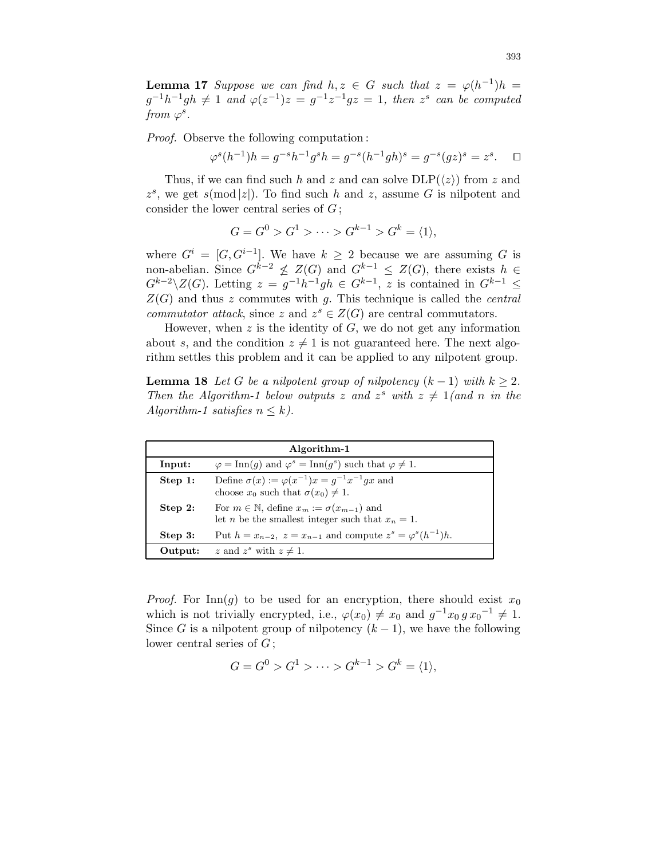**Lemma 17** Suppose we can find  $h, z \in G$  such that  $z = \varphi(h^{-1})h$  $g^{-1}h^{-1}gh \neq 1$  and  $\varphi(z^{-1})z = g^{-1}z^{-1}gz = 1$ , then  $z^s$  can be computed from  $\varphi^s$ .

Proof. Observe the following computation :

$$
\varphi^s(h^{-1})h = g^{-s}h^{-1}g^sh = g^{-s}(h^{-1}gh)^s = g^{-s}(gz)^s = z^s. \quad \Box
$$

Thus, if we can find such h and z and can solve  $DLP(\langle z \rangle)$  from z and  $z^s$ , we get  $s \pmod{|z|}$ . To find such h and z, assume G is nilpotent and consider the lower central series of  $G$ ;

$$
G = G^0 > G^1 > \dots > G^{k-1} > G^k = \langle 1 \rangle,
$$

where  $G^i = [G, G^{i-1}]$ . We have  $k \geq 2$  because we are assuming G is non-abelian. Since  $G^{k-2} \nleq Z(G)$  and  $G^{k-1} \leq Z(G)$ , there exists  $h \in$  $G^{k-2}\backslash Z(G)$ . Letting  $z = g^{-1}h^{-1}gh \in G^{k-1}$ , z is contained in  $G^{k-1} \leq$  $Z(G)$  and thus z commutes with g. This technique is called the *central commutator attack*, since z and  $z^s \in Z(G)$  are central commutators.

However, when  $z$  is the identity of  $G$ , we do not get any information about s, and the condition  $z \neq 1$  is not guaranteed here. The next algorithm settles this problem and it can be applied to any nilpotent group.

**Lemma 18** Let G be a nilpotent group of nilpotency  $(k-1)$  with  $k \geq 2$ . Then the Algorithm-1 below outputs z and  $z^s$  with  $z \neq 1$  (and n in the Algorithm-1 satisfies  $n \leq k$ ).

| Algorithm-1 |                                                                                                                            |
|-------------|----------------------------------------------------------------------------------------------------------------------------|
| Input:      | $\varphi = \text{Inn}(g)$ and $\varphi^s = \text{Inn}(g^s)$ such that $\varphi \neq 1$ .                                   |
| Step 1:     | Define $\sigma(x) := \varphi(x^{-1})x = q^{-1}x^{-1}qx$ and<br>choose $x_0$ such that $\sigma(x_0) \neq 1$ .               |
| Step $2:$   | For $m \in \mathbb{N}$ , define $x_m := \sigma(x_{m-1})$ and<br>let <i>n</i> be the smallest integer such that $x_n = 1$ . |
| Step 3:     | Put $h = x_{n-2}$ , $z = x_{n-1}$ and compute $z^s = \varphi^s(h^{-1})h$ .                                                 |
| Output:     | z and $z^s$ with $z \neq 1$ .                                                                                              |

*Proof.* For Inn(g) to be used for an encryption, there should exist  $x_0$ which is not trivially encrypted, i.e.,  $\varphi(x_0) \neq x_0$  and  $g^{-1}x_0 g x_0^{-1} \neq 1$ . Since G is a nilpotent group of nilpotency  $(k-1)$ , we have the following lower central series of  $G$ ;

$$
G = G^0 > G^1 > \cdots > G^{k-1} > G^k = \langle 1 \rangle,
$$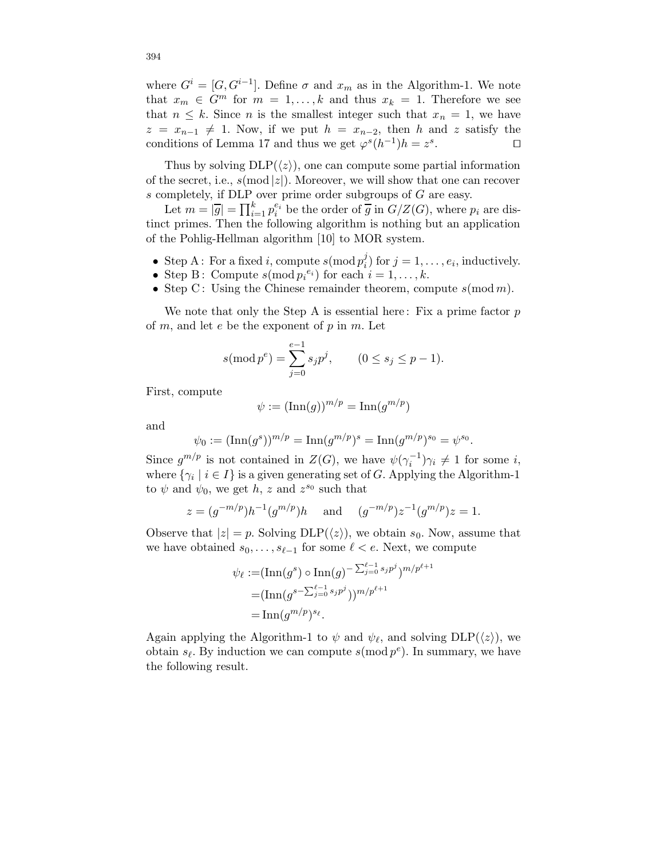where  $G^i = [G, G^{i-1}]$ . Define  $\sigma$  and  $x_m$  as in the Algorithm-1. We note that  $x_m \in G^m$  for  $m = 1, ..., k$  and thus  $x_k = 1$ . Therefore we see that  $n \leq k$ . Since *n* is the smallest integer such that  $x_n = 1$ , we have  $z = x_{n-1} \neq 1$ . Now, if we put  $h = x_{n-2}$ , then h and z satisfy the conditions of Lemma 17 and thus we get  $\varphi^{s}(h^{-1})h = z^{s}$ . □ conditions of Lemma 17 and thus we get  $\varphi^{s}(h^{-1})h = z^{s}$ . The contract of  $\Box$ 

Thus by solving  $DLP(\langle z \rangle)$ , one can compute some partial information of the secret, i.e.,  $s \pmod{|z|}$ . Moreover, we will show that one can recover s completely, if DLP over prime order subgroups of G are easy.

Let  $m = |\overline{g}| = \prod_{i=1}^{k} p_i^{e_i}$  be the order of  $\overline{g}$  in  $G/Z(G)$ , where  $p_i$  are distinct primes. Then the following algorithm is nothing but an application of the Pohlig-Hellman algorithm [10] to MOR system.

- Step A: For a fixed *i*, compute  $s(\text{mod } p_i^j)$  $i_j$ ) for  $j = 1, \ldots, e_i$ , inductively.
- Step B: Compute  $s(\text{mod } p_i^{e_i})$  for each  $i = 1, ..., k$ .
- Step C: Using the Chinese remainder theorem, compute  $s \pmod{m}$ .

We note that only the Step A is essential here: Fix a prime factor  $p$ of  $m$ , and let  $e$  be the exponent of  $p$  in  $m$ . Let

$$
s(\text{mod } p^e) = \sum_{j=0}^{e-1} s_j p^j, \qquad (0 \le s_j \le p-1).
$$

First, compute

$$
\psi := (\text{Inn}(g))^{m/p} = \text{Inn}(g^{m/p})
$$

and

$$
\psi_0 := (\text{Inn}(g^s))^{m/p} = \text{Inn}(g^{m/p})^s = \text{Inn}(g^{m/p})^{s_0} = \psi^{s_0}.
$$

Since  $g^{m/p}$  is not contained in  $Z(G)$ , we have  $\psi(\gamma_i^{-1})\gamma_i \neq 1$  for some *i*, where  $\{\gamma_i \mid i \in I\}$  is a given generating set of G. Applying the Algorithm-1 to  $\psi$  and  $\psi_0$ , we get h, z and  $z^{s_0}$  such that

$$
z = (g^{-m/p})h^{-1}(g^{m/p})h
$$
 and  $(g^{-m/p})z^{-1}(g^{m/p})z = 1.$ 

Observe that  $|z| = p$ . Solving DLP( $\langle z \rangle$ ), we obtain  $s_0$ . Now, assume that we have obtained  $s_0, \ldots, s_{\ell-1}$  for some  $\ell < e$ . Next, we compute

$$
\psi_{\ell} := (\text{Inn}(g^s) \circ \text{Inn}(g)^{-\sum_{j=0}^{\ell-1} s_j p^j})^{m/p^{\ell+1}}
$$
  
= 
$$
(\text{Inn}(g^{s-\sum_{j=0}^{\ell-1} s_j p^j}))^{m/p^{\ell+1}}
$$
  
= 
$$
\text{Inn}(g^{m/p})^{s_{\ell}}.
$$

Again applying the Algorithm-1 to  $\psi$  and  $\psi_{\ell}$ , and solving DLP( $\langle z \rangle$ ), we obtain  $s_{\ell}$ . By induction we can compute  $s(\text{mod } p^e)$ . In summary, we have the following result.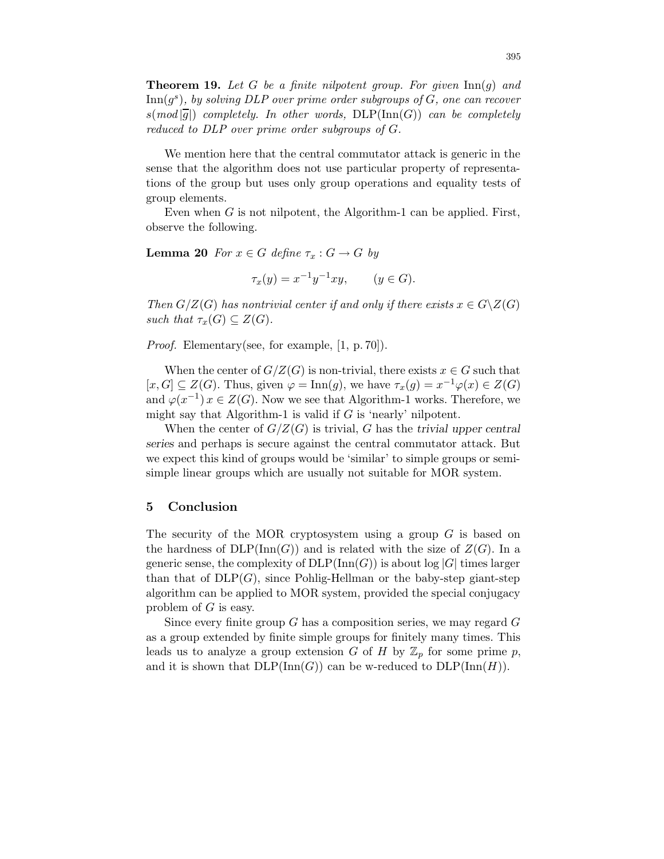**Theorem 19.** Let G be a finite nilpotent group. For given  $\text{Inn}(q)$  and  $\text{Inn}(g^s)$ , by solving DLP over prime order subgroups of G, one can recover  $s(mod|\overline{q}|)$  completely. In other words, DLP(Inn(G)) can be completely reduced to DLP over prime order subgroups of G.

We mention here that the central commutator attack is generic in the sense that the algorithm does not use particular property of representations of the group but uses only group operations and equality tests of group elements.

Even when  $G$  is not nilpotent, the Algorithm-1 can be applied. First, observe the following.

**Lemma 20** For  $x \in G$  define  $\tau_x : G \to G$  by

$$
\tau_x(y) = x^{-1}y^{-1}xy, \qquad (y \in G).
$$

Then  $G/Z(G)$  has nontrivial center if and only if there exists  $x \in G\backslash Z(G)$ such that  $\tau_x(G) \subseteq Z(G)$ .

Proof. Elementary(see, for example, [1, p. 70]).

When the center of  $G/Z(G)$  is non-trivial, there exists  $x \in G$  such that  $[x, G] \subseteq Z(G)$ . Thus, given  $\varphi = \text{Inn}(g)$ , we have  $\tau_x(g) = x^{-1} \varphi(x) \in Z(G)$ and  $\varphi(x^{-1}) x \in Z(G)$ . Now we see that Algorithm-1 works. Therefore, we might say that Algorithm-1 is valid if  $G$  is 'nearly' nilpotent.

When the center of  $G/Z(G)$  is trivial, G has the trivial upper central series and perhaps is secure against the central commutator attack. But we expect this kind of groups would be 'similar' to simple groups or semisimple linear groups which are usually not suitable for MOR system.

# 5 Conclusion

The security of the MOR cryptosystem using a group  $G$  is based on the hardness of  $DLP(Inn(G))$  and is related with the size of  $Z(G)$ . In a generic sense, the complexity of  $DLP(\mathrm{Inn}(G))$  is about log |G| times larger than that of  $DLP(G)$ , since Pohlig-Hellman or the baby-step giant-step algorithm can be applied to MOR system, provided the special conjugacy problem of  $G$  is easy.

Since every finite group  $G$  has a composition series, we may regard  $G$ as a group extended by finite simple groups for finitely many times. This leads us to analyze a group extension G of H by  $\mathbb{Z}_p$  for some prime p, and it is shown that  $DLP(\text{Inn}(G))$  can be w-reduced to  $DLP(\text{Inn}(H))$ .